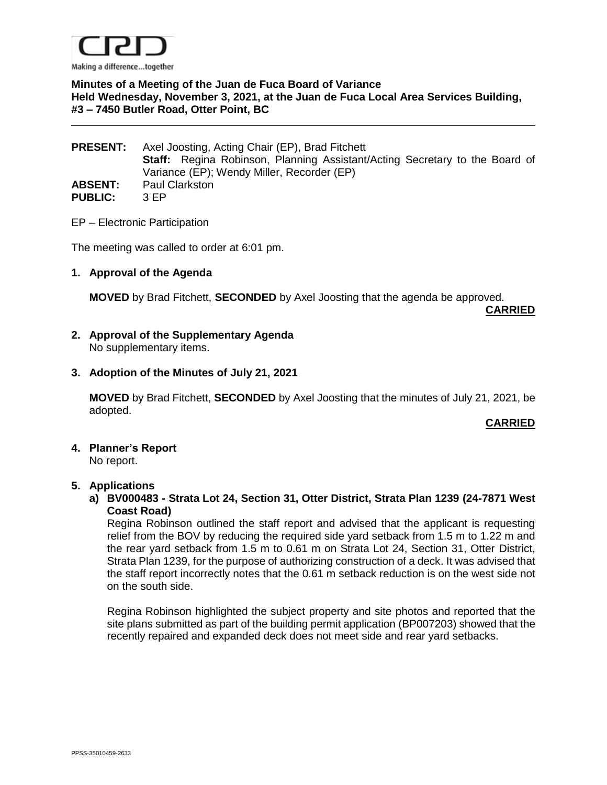

### **Minutes of a Meeting of the Juan de Fuca Board of Variance Held Wednesday, November 3, 2021, at the Juan de Fuca Local Area Services Building, #3 – 7450 Butler Road, Otter Point, BC**

| <b>PRESENT:</b> | Axel Joosting, Acting Chair (EP), Brad Fitchett                                    |
|-----------------|------------------------------------------------------------------------------------|
|                 | <b>Staff:</b> Regina Robinson, Planning Assistant/Acting Secretary to the Board of |
|                 | Variance (EP); Wendy Miller, Recorder (EP)                                         |
| <b>ABSENT:</b>  | <b>Paul Clarkston</b>                                                              |
| <b>PUBLIC:</b>  | 3 FP                                                                               |

EP – Electronic Participation

The meeting was called to order at 6:01 pm.

#### **1. Approval of the Agenda**

**MOVED** by Brad Fitchett, **SECONDED** by Axel Joosting that the agenda be approved.

**CARRIED**

**2. Approval of the Supplementary Agenda** No supplementary items.

#### **3. Adoption of the Minutes of July 21, 2021**

**MOVED** by Brad Fitchett, **SECONDED** by Axel Joosting that the minutes of July 21, 2021, be adopted.

#### **CARRIED**

**4. Planner's Report**

No report.

#### **5. Applications**

**a) BV000483 - Strata Lot 24, Section 31, Otter District, Strata Plan 1239 (24-7871 West Coast Road)**

Regina Robinson outlined the staff report and advised that the applicant is requesting relief from the BOV by reducing the required side yard setback from 1.5 m to 1.22 m and the rear yard setback from 1.5 m to 0.61 m on Strata Lot 24, Section 31, Otter District, Strata Plan 1239, for the purpose of authorizing construction of a deck. It was advised that the staff report incorrectly notes that the 0.61 m setback reduction is on the west side not on the south side.

Regina Robinson highlighted the subject property and site photos and reported that the site plans submitted as part of the building permit application (BP007203) showed that the recently repaired and expanded deck does not meet side and rear yard setbacks.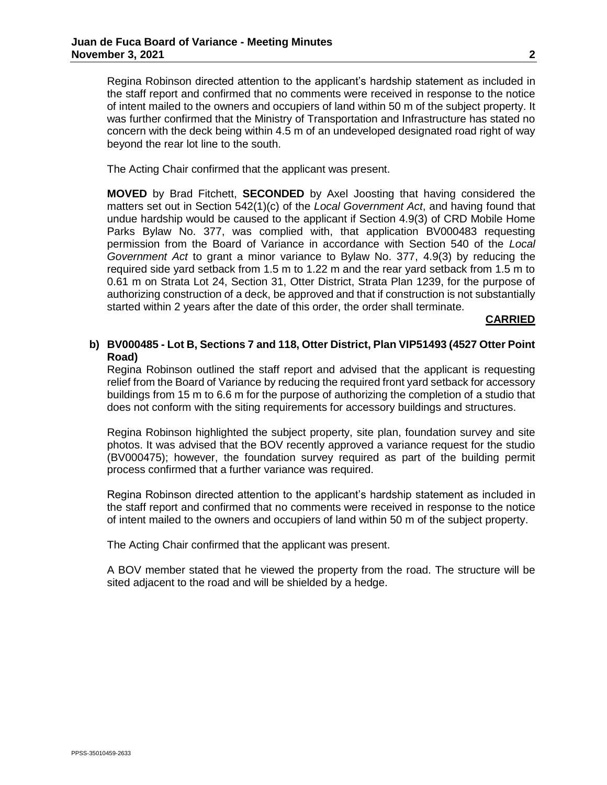The Acting Chair confirmed that the applicant was present.

**MOVED** by Brad Fitchett, **SECONDED** by Axel Joosting that having considered the matters set out in Section 542(1)(c) of the *Local Government Act*, and having found that undue hardship would be caused to the applicant if Section 4.9(3) of CRD Mobile Home Parks Bylaw No. 377, was complied with, that application BV000483 requesting permission from the Board of Variance in accordance with Section 540 of the *Local Government Act* to grant a minor variance to Bylaw No. 377, 4.9(3) by reducing the required side yard setback from 1.5 m to 1.22 m and the rear yard setback from 1.5 m to 0.61 m on Strata Lot 24, Section 31, Otter District, Strata Plan 1239, for the purpose of authorizing construction of a deck, be approved and that if construction is not substantially started within 2 years after the date of this order, the order shall terminate.

#### **CARRIED**

# **b) BV000485 - Lot B, Sections 7 and 118, Otter District, Plan VIP51493 (4527 Otter Point Road)**

Regina Robinson outlined the staff report and advised that the applicant is requesting relief from the Board of Variance by reducing the required front yard setback for accessory buildings from 15 m to 6.6 m for the purpose of authorizing the completion of a studio that does not conform with the siting requirements for accessory buildings and structures.

Regina Robinson highlighted the subject property, site plan, foundation survey and site photos. It was advised that the BOV recently approved a variance request for the studio (BV000475); however, the foundation survey required as part of the building permit process confirmed that a further variance was required.

Regina Robinson directed attention to the applicant's hardship statement as included in the staff report and confirmed that no comments were received in response to the notice of intent mailed to the owners and occupiers of land within 50 m of the subject property.

The Acting Chair confirmed that the applicant was present.

A BOV member stated that he viewed the property from the road. The structure will be sited adjacent to the road and will be shielded by a hedge.